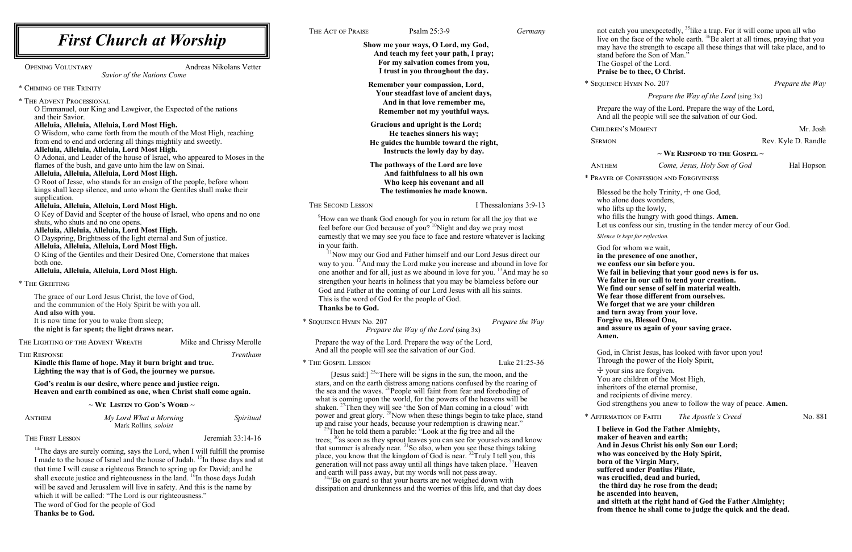<sup>44</sup> Be on guard so that your hearts are not weighed down with dissipation and drunkenness and the worries of this life, and that day does

 $\sim$  We Listen to God's Word  $\sim$ 

live on the face of the whole earth. <sup>36</sup>Be alert at all times, praying that you have the strength to escape all these things that will take place, and to before the Son of Man." Gospel of the Lord. **Praise be to thee, O Christ.** EXPRESS HYMN No. 207 *Prepare the Way Prepare the Way of the Lord* (sing 3x) are the way of the Lord. Prepare the way of the Lord, all the people will see the salvation of our God. REN'S MOMENT Mr. Josh N Rev. Kyle D. Randle **~ We Respond to the Gospel ~** Anthem *Come, Jesus, Holy Son of God* Hal Hopson OF CONFESSION AND FORGIVENESS sed be the holy Trinity,  $\pm$  one God, alone does wonders, lifts up the lowly, fills the hungry with good things. **Amen.** s confess our sin, trusting in the tender mercy of our God. *is kept for reflection.* for whom we wait, **in presence of one another.** onfess our sin before you. **We fail in believing that your good news is for us. We falter in our call to tend your creation. We find our sense of self in material wealth. We fear those different from ourselves. We forget that we are your children and turn away from your love. Forgive us, Blessed One,**  assure us again of your saving grace. in Christ Jesus, has looked with favor upon you! Igh the power of the Holy Spirit, ur sins are forgiven. are children of the Most High, itors of the eternal promise, and recipients of divine mercy. God strengthens you anew to follow the way of peace. **Amen.** \* Affirmation of Faith *The Apostle's Creed* No. 881 **I believe in God the Father Almighty, maker of heaven and earth; And in Jesus Christ his only Son our Lord; who was conceived by the Holy Spirit, born of the Virgin Mary, suffered under Pontius Pilate, was crucified, dead and buried, the third day he rose from the dead; he ascended into heaven, and sitteth at the right hand of God the Father Almighty; from thence he shall come to judge the quick and the dead.**

and earth will pass away, but my words will not pass away.

 $14$ <sup>14</sup>The days are surely coming, says the Lord, when I will fulfill the promise I made to the house of Israel and the house of Judah. <sup>15</sup>In those days and at that time I will cause a righteous Branch to spring up for David; and he shall execute justice and righteousness in the land.  $^{16}$ In those days Judah will be saved and Jerusalem will live in safety. And this is the name by which it will be called: "The Lord is our righteousness." The word of God for the people of God **Thanks be to God.**

| <b>First Church at Worship</b>                                                                                                                                                          | THE ACT OF PRAISE<br>Psalm 25:3-9<br>Germany<br>Show me your ways, O Lord, my God,<br>And teach my feet your path, I pray;<br>For my salvation comes from you,<br>I trust in you throughout the day.<br>Remember your compassion, Lord,                                                                                                                                                                                                                                                                            |                                                           | not catch you unexpectedly, <sup>35</sup> like a trap. For it will come upon all who<br>live on the face of the whole earth. <sup>36</sup> Be alert at all times, praying that yo<br>may have the strength to escape all these things that will take place, and<br>stand before the Son of Man.'<br>The Gospel of the Lord.<br>Praise be to thee, O Christ. |                                                                                                                                                                                                                                                                                                                                                                                                                                                |                                                       |                   |
|-----------------------------------------------------------------------------------------------------------------------------------------------------------------------------------------|--------------------------------------------------------------------------------------------------------------------------------------------------------------------------------------------------------------------------------------------------------------------------------------------------------------------------------------------------------------------------------------------------------------------------------------------------------------------------------------------------------------------|-----------------------------------------------------------|-------------------------------------------------------------------------------------------------------------------------------------------------------------------------------------------------------------------------------------------------------------------------------------------------------------------------------------------------------------|------------------------------------------------------------------------------------------------------------------------------------------------------------------------------------------------------------------------------------------------------------------------------------------------------------------------------------------------------------------------------------------------------------------------------------------------|-------------------------------------------------------|-------------------|
| Andreas Nikolans Vetter<br><b>OPENING VOLUNTARY</b><br>Savior of the Nations Come                                                                                                       |                                                                                                                                                                                                                                                                                                                                                                                                                                                                                                                    |                                                           |                                                                                                                                                                                                                                                                                                                                                             |                                                                                                                                                                                                                                                                                                                                                                                                                                                |                                                       |                   |
| * CHIMING OF THE TRINITY                                                                                                                                                                |                                                                                                                                                                                                                                                                                                                                                                                                                                                                                                                    |                                                           | * SEQUENCE HYMN No. 207                                                                                                                                                                                                                                                                                                                                     |                                                                                                                                                                                                                                                                                                                                                                                                                                                | Prepare the W                                         |                   |
|                                                                                                                                                                                         | Your steadfast love of ancient days,<br>And in that love remember me,<br>Remember not my youthful ways.<br>Gracious and upright is the Lord;<br>He teaches sinners his way;<br>He guides the humble toward the right,<br>Instructs the lowly day by day.                                                                                                                                                                                                                                                           |                                                           | Prepare the Way of the Lord (sing 3x)                                                                                                                                                                                                                                                                                                                       |                                                                                                                                                                                                                                                                                                                                                                                                                                                |                                                       |                   |
| * THE ADVENT PROCESSIONAL<br>O Emmanuel, our King and Lawgiver, the Expected of the nations<br>and their Savior.                                                                        |                                                                                                                                                                                                                                                                                                                                                                                                                                                                                                                    |                                                           |                                                                                                                                                                                                                                                                                                                                                             | Prepare the way of the Lord. Prepare the way of the Lord,<br>And all the people will see the salvation of our God.                                                                                                                                                                                                                                                                                                                             |                                                       |                   |
| Alleluia, Alleluia, Alleluia, Lord Most High.                                                                                                                                           |                                                                                                                                                                                                                                                                                                                                                                                                                                                                                                                    |                                                           |                                                                                                                                                                                                                                                                                                                                                             | <b>CHILDREN'S MOMENT</b>                                                                                                                                                                                                                                                                                                                                                                                                                       |                                                       | Mr. Jo            |
| O Wisdom, who came forth from the mouth of the Most High, reaching<br>from end to end and ordering all things mightily and sweetly.                                                     |                                                                                                                                                                                                                                                                                                                                                                                                                                                                                                                    |                                                           |                                                                                                                                                                                                                                                                                                                                                             | <b>SERMON</b>                                                                                                                                                                                                                                                                                                                                                                                                                                  |                                                       | Rev. Kyle D. Rano |
| Alleluia, Alleluia, Alleluia, Lord Most High.                                                                                                                                           |                                                                                                                                                                                                                                                                                                                                                                                                                                                                                                                    |                                                           | $\sim$ We Respond to the Gospel $\sim$                                                                                                                                                                                                                                                                                                                      |                                                                                                                                                                                                                                                                                                                                                                                                                                                |                                                       |                   |
| O Adonai, and Leader of the house of Israel, who appeared to Moses in the<br>flames of the bush, and gave unto him the law on Sinai.                                                    |                                                                                                                                                                                                                                                                                                                                                                                                                                                                                                                    | The pathways of the Lord are love                         |                                                                                                                                                                                                                                                                                                                                                             | ANTHEM                                                                                                                                                                                                                                                                                                                                                                                                                                         | Come, Jesus, Holy Son of God                          | Hal Hops          |
| Alleluia, Alleluia, Alleluia, Lord Most High.                                                                                                                                           | And faithfulness to all his own<br>Who keep his covenant and all<br>The testimonies he made known.<br>THE SECOND LESSON<br>I Thessalonians 3:9-13<br>How can we thank God enough for you in return for all the joy that we<br>feel before our God because of you? <sup>10</sup> Night and day we pray most                                                                                                                                                                                                         |                                                           |                                                                                                                                                                                                                                                                                                                                                             | * PRAYER OF CONFESSION AND FORGIVENESS                                                                                                                                                                                                                                                                                                                                                                                                         |                                                       |                   |
| O Root of Jesse, who stands for an ensign of the people, before whom<br>kings shall keep silence, and unto whom the Gentiles shall make their                                           |                                                                                                                                                                                                                                                                                                                                                                                                                                                                                                                    |                                                           |                                                                                                                                                                                                                                                                                                                                                             | Blessed be the holy Trinity, $\pm$ one God,<br>who alone does wonders,                                                                                                                                                                                                                                                                                                                                                                         |                                                       |                   |
| supplication.                                                                                                                                                                           |                                                                                                                                                                                                                                                                                                                                                                                                                                                                                                                    |                                                           |                                                                                                                                                                                                                                                                                                                                                             |                                                                                                                                                                                                                                                                                                                                                                                                                                                |                                                       |                   |
| Alleluia, Alleluia, Alleluia, Lord Most High.<br>O Key of David and Scepter of the house of Israel, who opens and no one<br>shuts, who shuts and no one opens.                          |                                                                                                                                                                                                                                                                                                                                                                                                                                                                                                                    |                                                           | who lifts up the lowly,<br>who fills the hungry with good things. Amen.<br>Let us confess our sin, trusting in the tender mercy of our God.                                                                                                                                                                                                                 |                                                                                                                                                                                                                                                                                                                                                                                                                                                |                                                       |                   |
| Alleluia, Alleluia, Alleluia, Lord Most High.<br>O Dayspring, Brightness of the light eternal and Sun of justice.                                                                       | earnestly that we may see you face to face and restore whatever is lacking<br>in your faith.<br><sup>11</sup> Now may our God and Father himself and our Lord Jesus direct our<br>way to you. <sup>12</sup> And may the Lord make you increase and abound in love for<br>one another and for all, just as we abound in love for you. <sup>13</sup> And may he so<br>strengthen your hearts in holiness that you may be blameless before our<br>God and Father at the coming of our Lord Jesus with all his saints. |                                                           |                                                                                                                                                                                                                                                                                                                                                             | Silence is kept for reflection.                                                                                                                                                                                                                                                                                                                                                                                                                |                                                       |                   |
| Alleluia, Alleluia, Alleluia, Lord Most High.                                                                                                                                           |                                                                                                                                                                                                                                                                                                                                                                                                                                                                                                                    |                                                           |                                                                                                                                                                                                                                                                                                                                                             | God for whom we wait,<br>in the presence of one another,<br>we confess our sin before you.<br>We fail in believing that your good news is for us.<br>We falter in our call to tend your creation.<br>We find our sense of self in material wealth.<br>We fear those different from ourselves.<br>We forget that we are your children<br>and turn away from your love.<br>Forgive us, Blessed One,<br>and assure us again of your saving grace. |                                                       |                   |
| O King of the Gentiles and their Desired One, Cornerstone that makes<br>both one.                                                                                                       |                                                                                                                                                                                                                                                                                                                                                                                                                                                                                                                    |                                                           |                                                                                                                                                                                                                                                                                                                                                             |                                                                                                                                                                                                                                                                                                                                                                                                                                                |                                                       |                   |
| Alleluia, Alleluia, Alleluia, Lord Most High.                                                                                                                                           |                                                                                                                                                                                                                                                                                                                                                                                                                                                                                                                    |                                                           |                                                                                                                                                                                                                                                                                                                                                             |                                                                                                                                                                                                                                                                                                                                                                                                                                                |                                                       |                   |
| * THE GREETING                                                                                                                                                                          |                                                                                                                                                                                                                                                                                                                                                                                                                                                                                                                    |                                                           |                                                                                                                                                                                                                                                                                                                                                             |                                                                                                                                                                                                                                                                                                                                                                                                                                                |                                                       |                   |
| The grace of our Lord Jesus Christ, the love of God,<br>and the communion of the Holy Spirit be with you all.<br>And also with you.                                                     | This is the word of God for the people of God.<br><b>Thanks be to God.</b>                                                                                                                                                                                                                                                                                                                                                                                                                                         |                                                           |                                                                                                                                                                                                                                                                                                                                                             |                                                                                                                                                                                                                                                                                                                                                                                                                                                |                                                       |                   |
| It is now time for you to wake from sleep;<br>the night is far spent; the light draws near.                                                                                             | * SEQUENCE HYMN No. 207<br>Prepare the Way<br>Prepare the Way of the Lord (sing 3x)                                                                                                                                                                                                                                                                                                                                                                                                                                |                                                           |                                                                                                                                                                                                                                                                                                                                                             |                                                                                                                                                                                                                                                                                                                                                                                                                                                |                                                       |                   |
| THE LIGHTING OF THE ADVENT WREATH<br>Mike and Chrissy Merolle                                                                                                                           |                                                                                                                                                                                                                                                                                                                                                                                                                                                                                                                    | Prepare the way of the Lord. Prepare the way of the Lord, |                                                                                                                                                                                                                                                                                                                                                             | Amen.                                                                                                                                                                                                                                                                                                                                                                                                                                          |                                                       |                   |
| THE RESPONSE<br>Trentham                                                                                                                                                                |                                                                                                                                                                                                                                                                                                                                                                                                                                                                                                                    | And all the people will see the salvation of our God.     |                                                                                                                                                                                                                                                                                                                                                             |                                                                                                                                                                                                                                                                                                                                                                                                                                                | God, in Christ Jesus, has looked with favor upon you! |                   |
| Kindle this flame of hope. May it burn bright and true.                                                                                                                                 | * THE GOSPEL LESSON                                                                                                                                                                                                                                                                                                                                                                                                                                                                                                |                                                           | Luke 21:25-36                                                                                                                                                                                                                                                                                                                                               |                                                                                                                                                                                                                                                                                                                                                                                                                                                | Through the power of the Holy Spirit,                 |                   |
| Lighting the way that is of God, the journey we pursue.<br>God's realm is our desire, where peace and justice reign.<br>Heaven and earth combined as one, when Christ shall come again. | [Jesus said:] <sup>25.</sup> There will be signs in the sun, the moon, and the<br>stars, and on the earth distress among nations confused by the roaring of<br>the sea and the waves. <sup>26</sup> People will faint from fear and foreboding of<br>what is coming upon the world, for the powers of the heavens will be                                                                                                                                                                                          |                                                           |                                                                                                                                                                                                                                                                                                                                                             | + your sins are forgiven.<br>You are children of the Most High,<br>inheritors of the eternal promise,<br>and recipients of divine mercy.                                                                                                                                                                                                                                                                                                       |                                                       |                   |

shaken. <sup>27</sup>Then they will see 'the Son of Man coming in a cloud' with power and great glory. <sup>28</sup>Now when these things begin to take place, stand up and raise your heads, because your redemption is drawing near."  $^{29}$ Then he told them a parable: "Look at the fig tree and all the trees;  $30$ <sub>as</sub> soon as they sprout leaves you can see for yourselves and know that summer is already near.  $31$ So also, when you see these things taking place, you know that the kingdom of God is near.  $^{32}$ Truly I tell you, this generation will not pass away until all things have taken place.  $^{33}$ Heaven

Anthem *My Lord What a Morning Spiritual* Mark Rollins*, soloist*

### THE FIRST LESSON Jeremiah 33:14-16